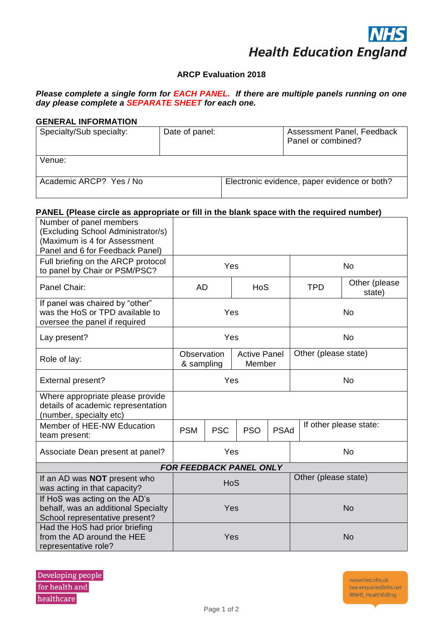## **ARCP Evaluation 2018**

## *Please complete a single form for EACH PANEL. If there are multiple panels running on one day please complete a SEPARATE SHEET for each one.*

### **GENERAL INFORMATION**

| Specialty/Sub specialty: | Date of panel: | Assessment Panel, Feedback<br>Panel or combined? |
|--------------------------|----------------|--------------------------------------------------|
| Venue:                   |                |                                                  |
| Academic ARCP? Yes / No  |                | Electronic evidence, paper evidence or both?     |

# **PANEL (Please circle as appropriate or fill in the blank space with the required number)**

| Number of panel members<br>(Excluding School Administrator/s)<br>(Maximum is 4 for Assessment<br>Panel and 6 for Feedback Panel) |                                                            |            |                                                     |                      |            |                         |  |
|----------------------------------------------------------------------------------------------------------------------------------|------------------------------------------------------------|------------|-----------------------------------------------------|----------------------|------------|-------------------------|--|
| Full briefing on the ARCP protocol<br>to panel by Chair or PSM/PSC?                                                              | Yes                                                        |            |                                                     | <b>No</b>            |            |                         |  |
| Panel Chair:                                                                                                                     | <b>AD</b><br><b>HoS</b>                                    |            |                                                     |                      | <b>TPD</b> | Other (please<br>state) |  |
| If panel was chaired by "other"<br>was the HoS or TPD available to<br>oversee the panel if required                              | Yes                                                        |            |                                                     |                      | <b>No</b>  |                         |  |
| Lay present?                                                                                                                     | Yes                                                        |            |                                                     |                      | <b>No</b>  |                         |  |
| Role of lay:                                                                                                                     | <b>Active Panel</b><br>Observation<br>Member<br>& sampling |            |                                                     | Other (please state) |            |                         |  |
| External present?                                                                                                                | Yes                                                        |            |                                                     | <b>No</b>            |            |                         |  |
| Where appropriate please provide<br>details of academic representation<br>(number, specialty etc)                                |                                                            |            |                                                     |                      |            |                         |  |
| Member of HEE-NW Education<br>team present:                                                                                      | <b>PSM</b>                                                 | <b>PSC</b> | If other please state:<br><b>PSO</b><br><b>PSAd</b> |                      |            |                         |  |
| Associate Dean present at panel?                                                                                                 | Yes                                                        |            |                                                     | <b>No</b>            |            |                         |  |
|                                                                                                                                  |                                                            |            | <b>FOR FEEDBACK PANEL ONLY</b>                      |                      |            |                         |  |
| If an AD was <b>NOT</b> present who<br>was acting in that capacity?                                                              | HoS                                                        |            |                                                     | Other (please state) |            |                         |  |
| If HoS was acting on the AD's<br>behalf, was an additional Specialty<br>School representative present?                           | Yes                                                        |            |                                                     | <b>No</b>            |            |                         |  |
| Had the HoS had prior briefing<br>from the AD around the HEE<br>representative role?                                             | Yes                                                        |            |                                                     | <b>No</b>            |            |                         |  |